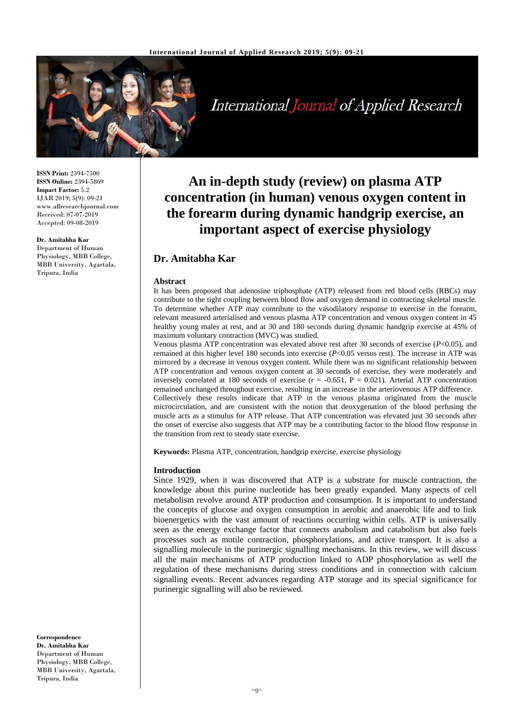

International Journal of Applied Research

**ISSN Print:** 2394-7500 **ISSN Online:** 2394-5869 **Impact Factor:** 5.2 IJAR 2019; 5(9): 09-21 www.allresearchjournal.com Received: 07-07-2019 Accepted: 09-08-2019

**Dr. Amitabha Kar** Department of Human Physiology, MBB College, MBB University, Agartala, Tripura, India

**An in-depth study (review) on plasma ATP concentration (in human) venous oxygen content in the forearm during dynamic handgrip exercise, an important aspect of exercise physiology**

# **Dr. Amitabha Kar**

### **Abstract**

It has been proposed that adenosine triphosphate (ATP) released from red blood cells (RBCs) may contribute to the tight coupling between blood flow and oxygen demand in contracting skeletal muscle. To determine whether ATP may contribute to the vasodilatory response to exercise in the forearm, relevant measured arterialised and venous plasma ATP concentration and venous oxygen content in 45 healthy young males at rest, and at 30 and 180 seconds during dynamic handgrip exercise at 45% of maximum voluntary contraction (MVC) was studied.

Venous plasma ATP concentration was elevated above rest after 30 seconds of exercise (*P*<0.05), and remained at this higher level 180 seconds into exercise (*P*<0.05 versus rest). The increase in ATP was mirrored by a decrease in venous oxygen content. While there was no significant relationship between ATP concentration and venous oxygen content at 30 seconds of exercise, they were moderately and inversely correlated at 180 seconds of exercise ( $r = -0.651$ ,  $P = 0.021$ ). Arterial ATP concentration remained unchanged throughout exercise, resulting in an increase in the arteriovenous ATP difference. Collectively these results indicate that ATP in the venous plasma originated from the muscle microcirculation, and are consistent with the notion that deoxygenation of the blood perfusing the muscle acts as a stimulus for ATP release. That ATP concentration was elevated just 30 seconds after the onset of exercise also suggests that ATP may be a contributing factor to the blood flow response in the transition from rest to steady state exercise.

**Keywords:** Plasma ATP, concentration, handgrip exercise, exercise physiology

#### **Introduction**

Since 1929, when it was discovered that ATP is a substrate for muscle contraction, the knowledge about this purine nucleotide has been greatly expanded. Many aspects of cell metabolism revolve around ATP production and consumption. It is important to understand the concepts of glucose and oxygen consumption in aerobic and anaerobic life and to link bioenergetics with the vast amount of reactions occurring within cells. ATP is universally seen as the energy exchange factor that connects anabolism and catabolism but also fuels processes such as motile contraction, phosphorylations, and active transport. It is also a signalling molecule in the purinergic signalling mechanisms. In this review, we will discuss all the main mechanisms of ATP production linked to ADP phosphorylation as well the regulation of these mechanisms during stress conditions and in connection with calcium signalling events. Recent advances regarding ATP storage and its special significance for purinergic signalling will also be reviewed.

**Correspondence Dr. Amitabha Kar** Department of Human Physiology, MBB College, MBB University, Agartala, Tripura, India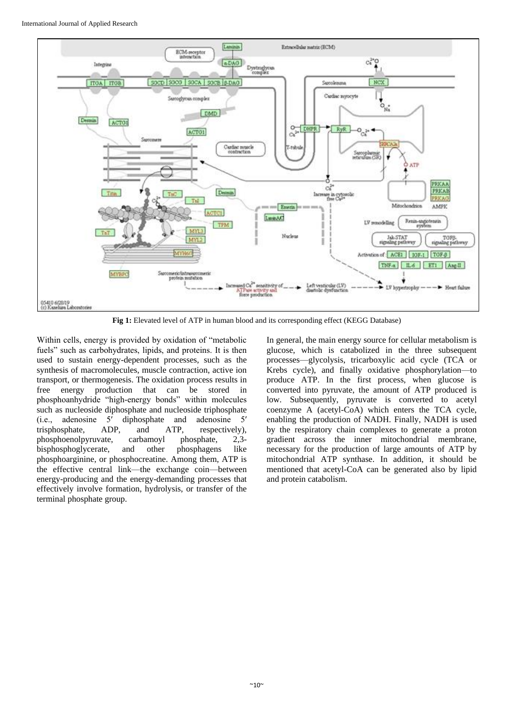

**Fig 1:** Elevated level of ATP in human blood and its corresponding effect (KEGG Database)

Within cells, energy is provided by oxidation of "metabolic fuels" such as carbohydrates, lipids, and proteins. It is then used to sustain energy-dependent processes, such as the synthesis of macromolecules, muscle contraction, active ion transport, or thermogenesis. The oxidation process results in free energy production that can be stored in phosphoanhydride "high-energy bonds" within molecules such as nucleoside diphosphate and nucleoside triphosphate (i.e., adenosine 5′ diphosphate and adenosine 5′ trisphosphate, ADP, and ATP, respectively), phosphoenolpyruvate, carbamoyl phosphate, 2,3 bisphosphoglycerate, and other phosphagens like phosphoarginine, or phosphocreatine. Among them, ATP is the effective central link—the exchange coin—between energy-producing and the energy-demanding processes that effectively involve formation, hydrolysis, or transfer of the terminal phosphate group.

In general, the main energy source for cellular metabolism is glucose, which is catabolized in the three subsequent processes—glycolysis, tricarboxylic acid cycle (TCA or Krebs cycle), and finally oxidative phosphorylation—to produce ATP. In the first process, when glucose is converted into pyruvate, the amount of ATP produced is low. Subsequently, pyruvate is converted to acetyl coenzyme A (acetyl-CoA) which enters the TCA cycle, enabling the production of NADH. Finally, NADH is used by the respiratory chain complexes to generate a proton gradient across the inner mitochondrial membrane, necessary for the production of large amounts of ATP by mitochondrial ATP synthase. In addition, it should be mentioned that acetyl-CoA can be generated also by lipid and protein catabolism.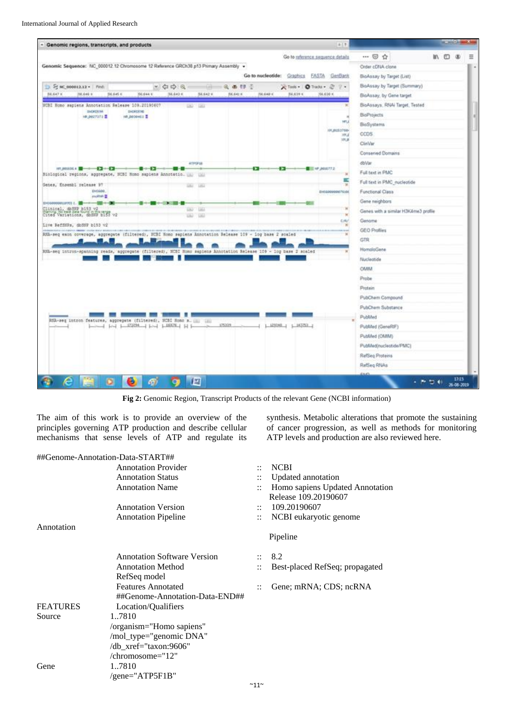

**Fig 2:** Genomic Region, Transcript Products of the relevant Gene (NCBI information)

The aim of this work is to provide an overview of the principles governing ATP production and describe cellular mechanisms that sense levels of ATP and regulate its

##Genome-Annotation-Data-START## Annotation Provider :: NCBI Annotation Status :: Updated annotation Annotation Name :: Homo sapiens Updated Annotation Annotation Version :: 109.20190607 Annotation Pipeline :: NCBI eukaryotic genome Annotation Pipeline Annotation Software Version :: 8.2 Annotation Method :: Best-placed RefSeq; propagated RefSeq model Features Annotated :: Gene; mRNA; CDS; ncRNA ##Genome-Annotation-Data-END## FEATURES Location/Qualifiers Source 1..7810 /organism="Homo sapiens" /mol\_type= /db\_xref=" /chromoso Gene 1..7810  $/$ gene="AT

- 
- Release 109.20190607

synthesis. Metabolic alterations that promote the sustaining of cancer progression, as well as methods for monitoring

ATP levels and production are also reviewed here.

| "genomic DNA" |  |
|---------------|--|
| taxon:9606"   |  |
| me="12"       |  |
|               |  |
| 'P5F1B"       |  |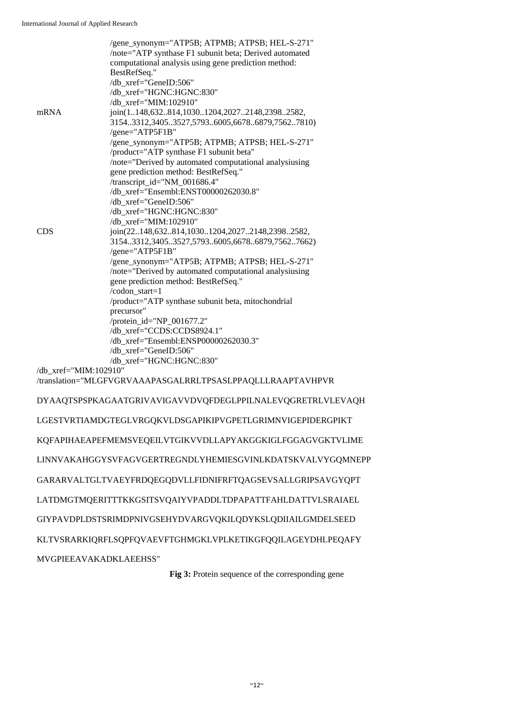MVGPIEEAVAKADKLAEEHSS"

|                       | /gene_synonym="ATP5B; ATPMB; ATPSB; HEL-S-271"<br>/note="ATP synthase F1 subunit beta; Derived automated<br>computational analysis using gene prediction method:<br>BestRefSeq." |
|-----------------------|----------------------------------------------------------------------------------------------------------------------------------------------------------------------------------|
|                       | /db_xref="GeneID:506"                                                                                                                                                            |
|                       | /db_xref="HGNC:HGNC:830"                                                                                                                                                         |
|                       | /db_xref="MIM:102910"                                                                                                                                                            |
| mRNA                  | join(1148,632814,10301204,20272148,23982582,                                                                                                                                     |
|                       | 31543312,34053527,57936005,66786879,75627810)<br>/gene="ATP5F1B"                                                                                                                 |
|                       | /gene_synonym="ATP5B; ATPMB; ATPSB; HEL-S-271"                                                                                                                                   |
|                       | /product="ATP synthase F1 subunit beta"                                                                                                                                          |
|                       | /note="Derived by automated computational analysiusing                                                                                                                           |
|                       | gene prediction method: BestRefSeq."                                                                                                                                             |
|                       | /transcript_id="NM_001686.4"                                                                                                                                                     |
|                       | /db_xref="Ensembl:ENST00000262030.8"                                                                                                                                             |
|                       | /db_xref="GeneID:506"                                                                                                                                                            |
|                       | /db_xref="HGNC:HGNC:830"                                                                                                                                                         |
| <b>CDS</b>            | /db_xref="MIM:102910"                                                                                                                                                            |
|                       | join(22148,632814,10301204,20272148,23982582,<br>31543312,34053527,57936005,66786879,75627662)                                                                                   |
|                       | /gene="ATP5F1B"                                                                                                                                                                  |
|                       | /gene_synonym="ATP5B; ATPMB; ATPSB; HEL-S-271"                                                                                                                                   |
|                       | /note="Derived by automated computational analysiusing                                                                                                                           |
|                       | gene prediction method: BestRefSeq."                                                                                                                                             |
|                       | /codon_start=1                                                                                                                                                                   |
|                       | /product="ATP synthase subunit beta, mitochondrial                                                                                                                               |
|                       | precursor"                                                                                                                                                                       |
|                       | /protein_id="NP_001677.2"                                                                                                                                                        |
|                       | /db_xref="CCDS:CCDS8924.1"                                                                                                                                                       |
|                       | /db_xref="Ensembl:ENSP00000262030.3"<br>/db_xref="GeneID:506"                                                                                                                    |
|                       | /db_xref="HGNC:HGNC:830"                                                                                                                                                         |
| /db xref="MIM:102910" |                                                                                                                                                                                  |
|                       | /translation="MLGFVGRVAAAPASGALRRLTPSASLPPAQLLLRAAPTAVHPVR                                                                                                                       |
|                       | DYAAQTSPSPKAGAATGRIVAVIGAVVDVQFDEGLPPILNALEVQGRETRLVLEVAQH                                                                                                                       |
|                       | LGESTVRTIAMDGTEGLVRGQKVLDSGAPIKIPVGPETLGRIMNVIGEPIDERGPIKT                                                                                                                       |
|                       | KQFAPIHAEAPEFMEMSVEQEILVTGIKVVDLLAPYAKGGKIGLFGGAGVGKTVLIME                                                                                                                       |
|                       | LINNVAKAHGGYSVFAGVGERTREGNDLYHEMIESGVINLKDATSKVALVYGQMNEPP                                                                                                                       |
|                       | GARARVALTGLTVAEYFRDQEGQDVLLFIDNIFRFTQAGSEVSALLGRIPSAVGYQPT                                                                                                                       |
|                       | LATDMGTMQERITTTKKGSITSVQAIYVPADDLTDPAPATTFAHLDATTVLSRAIAEL                                                                                                                       |
|                       | GIYPAVDPLDSTSRIMDPNIVGSEHYDVARGVQKILQDYKSLQDIIAILGMDELSEED                                                                                                                       |
|                       | KLTVSRARKIQRFLSQPFQVAEVFTGHMGKLVPLKETIKGFQQILAGEYDHLPEQAFY                                                                                                                       |

**Fig 3:** Protein sequence of the corresponding gene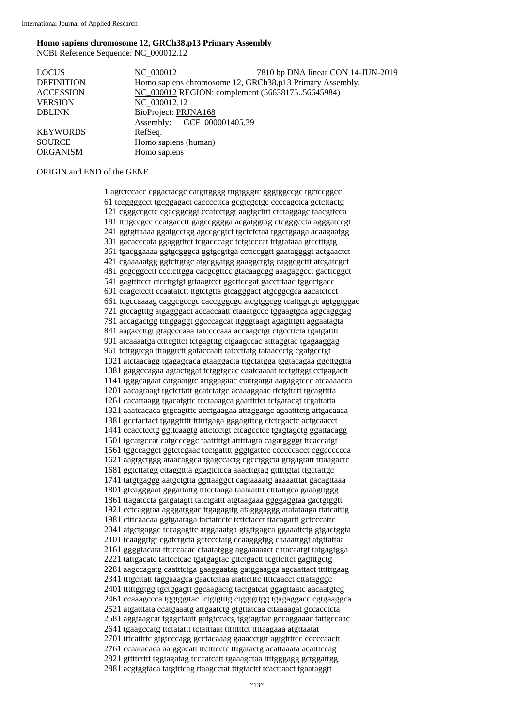#### **Homo sapiens chromosome 12, GRCh38.p13 Primary Assembly** NCBI Reference Sequence: NC\_000012.12

| <b>LOCUS</b>      | NC 000012                                                | 7810 bp DNA linear CON 14-JUN-2019 |  |
|-------------------|----------------------------------------------------------|------------------------------------|--|
| <b>DEFINITION</b> | Homo sapiens chromosome 12, GRCh38.p13 Primary Assembly. |                                    |  |
| <b>ACCESSION</b>  | NC 000012 REGION: complement (5663817556645984)          |                                    |  |
| <b>VERSION</b>    | NC 000012.12                                             |                                    |  |
| <b>DBLINK</b>     | BioProject: PRJNA168                                     |                                    |  |
|                   | Assembly: GCF 000001405.39                               |                                    |  |
| <b>KEYWORDS</b>   | RefSeq.                                                  |                                    |  |
| <b>SOURCE</b>     | Homo sapiens (human)                                     |                                    |  |
| <b>ORGANISM</b>   | Homo sapiens                                             |                                    |  |
|                   |                                                          |                                    |  |

#### ORIGIN and END of the GENE

1 agtctccacc cggactacgc catgttgggg tttgtgggtc gggtggccgc tgctccggcc 61 tccggggcct tgcggagact caccccttca gcgtcgctgc ccccagctca gctcttactg 121 cgggccgctc cgacggcggt ccatcctggt aagtgctttt ctctaggagc taacgttcca 181 ttttgccgcc ccatgacctt gagccgggga acgatggtag ctcgggccta agggatccgt 241 ggtgttaaaa ggatgcctgg agccgcgtct tgctctctaa tggctggaga acaagaatgg 301 gacacccata ggaggtttct tcgacccagc tctgtcccat tttgtataaa gtcctttgtg 361 tgacggaaaa ggtgcgggca ggtgcgttga ccttccggtt gaataggggt actgaactct 421 cgaaaaatgg ggtcttgtgc atgcggatgg gaaggctgtg caggcgcttt atcgatcgct 481 gcgcggcctt ccctcttgga cacgcgttcc gtacaagcgg aaagaggcct gacttcggct 541 gagttttcct ctccttgtgt gttaagtcct ggcttccgat gacctttaac tggcctgacc 601 ccagctcctt ccaatatctt ttgtctgtta gtcagggact atgcggcgca aacatctcct 661 tcgccaaaag caggcgccgc caccgggcgc atcgtggcgg tcattggcgc agtggtggac 721 gtccagtttg atgagggact accaccaatt ctaaatgccc tggaagtgca aggcagggag 781 accagactgg ttttggaggt ggcccagcat ttgggtaagt agagtttgtt aggaatagta 841 aagaccttgt gtagcccaaa tatccccaaa accaagctgt ctgccttcta tgatgatttt 901 atcaaaatga ctttcgttct tctgagtttg ctgaagccac atttaggtac tgagaaggag 961 tcttggtcga tttaggtctt gataccaatt tatccttatg tataaccctg cgatgcctgt 1021 atctaacagg tgagagcaca gtaaggacta ttgctatgga tggtacagaa ggcttggtta 1081 gaggccagaa agtactggat tctggtgcac caatcaaaat tcctgttggt cctgagactt 1141 tgggcagaat catgaatgtc attggagaac ctattgatga aagaggtccc atcaaaacca 1201 aacagtaagt tgctcttatt gcatctatgc acaaaggaac ttctgttatt tgcagtttta 1261 cacattaagg tgacatgttc tcctaaagca gaatttttct tctgatacgt tcgattatta 1321 aaatcacaca gtgcagtttc acctgaagaa attaggatgc agaatttctg attgacaaaa 1381 gcctactact tgaggttttt ttttttgaga gggagtttcg ctctcgactc actgcaacct 1441 ccacctcctg ggttcaagtg attctcctgt ctcagcctcc tgagtagctg ggattacagg 1501 tgcatgccat catgcccggc taatttttgt atttttagta cagatggggt ttcaccatgt 1561 tggccaggct ggtctcgaac tcctgatttt gggtgattcc ccccccacct cggcccccca 1621 aagtgctggg ataacaggca tgagccactg cgcctggcta gttgagtatt tttaagactc 1681 ggtcttatgg cttaggttta ggagtctcca aaacttgtag gtttttgtat ttgctattgc 1741 tatgtgaggg aatgctgtta ggttaaggct cagtaaaatg aaaaatttat gacagttaaa 1801 gtcagggaat gggattattg tttcctaaga taataatttt ctttattgca gaaagttggg 1861 ttagatccta gatgatagtt tatctgattt atgtaagaaa ggggaggtaa gactgtggtt 1921 cctcaggtaa agggatggac ttgagagttg atagggaggg atatataaga ttatcatttg 1981 ctttcaacaa ggtgaataga tactatcctc tcttctacct ttacagattt gctcccattc 2041 atgctgaggc tccagagttc atggaaatga gtgttgagca ggaaattctg gtgactggta 2101 tcaaggttgt cgatctgcta gctccctatg ccaagggtgg caaaattggt atgttattaa 2161 ggggtacata ttttccaaac ctaatatggg aggaaaaact catacaatgt tatgagtgga 2221 tattgacatc tattcctcac tgatgagtac gttctgactt tcgttcttct gagtttgctg 2281 aagccagatg caatttctga gaaggaatag gatggaagga agcaattact ttttttgaag 2341 tttgcttatt taggaaagca gaactcttaa atattctttc ttttcaacct cttatagggc 2401 tttttggtgg tgctggagtt ggcaagactg tactgatcat ggagttaatc aacaatgtcg 2461 ccaaagccca tggtggttac tctgtgtttg ctggtgttgg tgagaggacc cgtgaaggca 2521 atgatttata ccatgaaatg attgaatctg gtgttatcaa cttaaaagat gccacctcta 2581 aggtaagcat tgagctaatt gatgtccacg tggtagttac gccaggaaac tattgccaac 2641 tgaagccatg ttctatattt tctatttaat ttttttttct ttttaagaaa atgttaatat 2701 tttcattttc gtgtcccagg gcctacaaag gaaacctgtt agtgttttcc cccccaactt 2761 ccaatacaca aatggacatt ttctttcctc tttgatactg acattaaata acatttccag 2821 gttttctttt tggtagatag tcccatcatt tgaaagctaa ttttgggagg gctggattgg 2881 acgtggtaca tatgtttcag ttaagcctat tttgtacttt tcacttaact tgaataggtt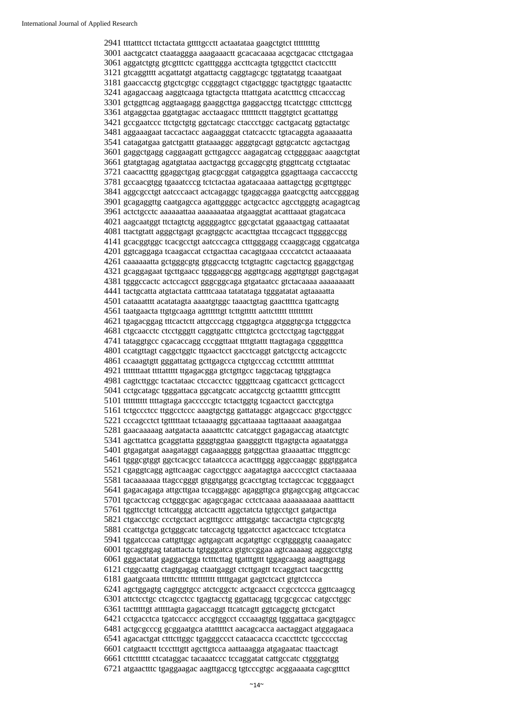2941 tttatttcct ttctactata gttttgcctt actaatataa gaagctgtct tttttttttg 3001 aactgcatct ctaataggga aaagaaactt gcacacaaaa acgctgacac cttctgagaa 3061 aggatctgtg gtcgtttctc cgatttggga accttcagta tgtggcttct ctactccttt 3121 gtcaggtttt acgattatgt atgattactg caggtagcgc tggtatatgg tcaaatgaat 3181 gaaccacctg gtgctcgtgc ccgggtagct ctgactgggc tgactgtggc tgaatacttc 3241 agagaccaag aaggtcaaga tgtactgcta tttattgata acatctttcg cttcacccag 3301 gctggttcag aggtaagagg gaaggcttga gaggacctgg ttcatctggc ctttcttcgg 3361 atgaggctaa ggatgtagac acctaagacc tttttttctt ttaggtgtct gcattattgg 3421 gccgaatccc ttctgctgtg ggctatcagc ctaccctggc cactgacatg ggtactatgc 3481 aggaaagaat taccactacc aagaagggat ctatcacctc tgtacaggta agaaaaatta 3541 catagatgaa gatctgattt gtataaaggc agggtgcagt ggtgcatctc agctactgag 3601 gaggctgagg caggaagatt gcttgagccc aagagatcag cctggggaac aaagctgtat 3661 gtatgtagag agatgtataa aactgactgg gccaggcgtg gtggttcatg cctgtaatac 3721 caacactttg ggaggctgag gtacgcggat catgaggtca ggagttaaga caccaccctg 3781 gccaacgtgg tgaaatcccg tctctactaa agatacaaaa aattagctgg gcgttgtggc 3841 aggcgcctgt aatcccaact actcagaggc tgaggcagga gaatcgcttg aatccgggag 3901 gcagaggttg caatgagcca agattggggc actgcactcc agcctgggtg acagagtcag 3961 actctgcctc aaaaaattaa aaaaaaataa atgaaggtat acatttaaat gtagatcaca 4021 aagcaatggt ttctagtctg aggggagtcc ggcgctatat ggaaactgag cattaaatat 4081 ttactgtatt agggctgagt gcagtggctc acacttgtaa ttccagcact ttggggccgg 4141 gcacggtggc tcacgcctgt aatcccagca ctttgggagg ccaaggcagg cggatcatga 4201 ggtcaggaga tcaagaccat cctgacttaa cacagtgaaa ccccatctct actaaaaata 4261 caaaaaatta gctgggcgtg gtggcacctg tctgtagttc cagctactcg ggaggctgag 4321 gcaggagaat tgcttgaacc tgggaggcgg aggttgcagg aggttgtggt gagctgagat 4381 tgggccactc actccagcct gggcggcaga gtgataatcc gtctacaaaa aaaaaaaatt 4441 tactgcatta atgtactata cattttcaaa tatatataga tgggatatat agtaaaatta 4501 cataaatttt acatatagta aaaatgtggc taaactgtag gaacttttca tgattcagtg 4561 taatgaacta ttgtgcaaga agttttttgt tcttgttttt aattcttttt tttttttttt 4621 tgagacggag tttcactctt attgcccagg ctggagtgca atgggtgcga tctgggctca 4681 ctgcaacctc ctcctgggtt caggtgattc ctttgtctca gcctcctgag tagctgggat 4741 tataggtgcc cgacaccagg cccggttaat ttttgtattt ttagtagaga cggggtttca 4801 ccatgttagt caggctggtc ttgaactcct gacctcaggt gatctgcctg actcagcctc 4861 ccaaagtgtt gggattatag gcttgagcca ctgtgcccag cctctttttt atttttttat 4921 tttttttaat ttttattttt ttgagacgga gtctgttgcc taggctacag tgtggtagca 4981 cagtcttggc tcactataac ctccacctcc tgggttcaag cgattcacct gcttcagcct 5041 cctgcatagc tgggattaca ggcatgcatc accatgcctg gctaattttt gtttccgttt 5101 tttttttttt ttttagtaga gacccccgtc tctactggtg tcgaactcct gacctcgtga 5161 tctgccctcc ttggcctccc aaagtgctgg gattataggc atgagccacc gtgcctggcc 5221 cccagcctct tgtttttaat tctaaaagtg ggcattaaaa tagttaaaat aaaagatgaa 5281 gaacaaaaag aatgatacta aaaattcttc catcatggct gagagaccag ataatctgtc 5341 agcttattca gcaggtatta ggggtggtaa gaagggtctt ttgagtgcta agaatatgga 5401 gtgagatgat aaagataggt cagaaagggg gatggcttaa gtaaaattac tttggttcgc 5461 tgggcgtggt ggctcacgcc tataatccca acactttggg aggccaaggc gggtggatca 5521 cgaggtcagg agttcaagac cagcctggcc aagatagtga aaccccgtct ctactaaaaa 5581 tacaaaaaaa ttagccgggt gtggtgatgg gcacctgtag tcctagccac tcgggaagct 5641 gagacagaga attgcttgaa tccaggaggc agaggttgca gtgagccgag attgcaccac 5701 tgcactccag cctgggcgac agagcgagac cctctcaaaa aaaaaaaaaa aaatttactt 5761 tggttcctgt tcttcatggg atctcacttt aggctatcta tgtgcctgct gatgacttga 5821 ctgaccctgc ccctgctact acgtttgccc atttggatgc taccactgta ctgtcgcgtg 5881 ccattgctga gctgggcatc tatccagctg tggatcctct agactccacc tctcgtatca 5941 tggatcccaa cattgttggc agtgagcatt acgatgttgc ccgtggggtg caaaagatcc 6001 tgcaggtgag tatattacta tgtgggatca gtgtccggaa agtcaaaaag agggcctgtg 6061 gggactatat gaggactgga tctttcttag tgatttgttt tggagcaagg aaagttgagg 6121 ctggcaattg ctagtgagag ctaatgaggt ctcttgagtt tccaggtact taacgctttg 6181 gaatgcaata tttttctttc tttttttttt tttttgagat gagtctcact gtgtctccca 6241 agctggagtg cagtggtgcc atctcggctc actgcaacct ccgcctccca ggttcaagcg 6301 attctcctgc ctcagcctcc tgagtacctg ggattacagg tgcgcgccac catgcctggc 6361 tactttttgt atttttagta gagaccaggt ttcatcagtt ggtcaggctg gtctcgatct 6421 cctgacctca tgatccaccc accgtggcct cccaaagtgg tgggattaca gacgtgagcc 6481 actgcgcccg gcggaatgca atatttttct aacagcacca aactaggact atggagaaca 6541 agacactgat ctttcttggc tgagggccct cataacacca ccaccttctc tgccccctag 6601 catgtaactt tccctttgtt agcttgtcca aattaaagga atgagaatac ttaactcagt 6661 cttctttttt ctcataggac tacaaatccc tccaggatat cattgccatc ctgggtatgg 6721 atgaactttc tgaggaagac aagttgaccg tgtcccgtgc acggaaaata cagcgtttct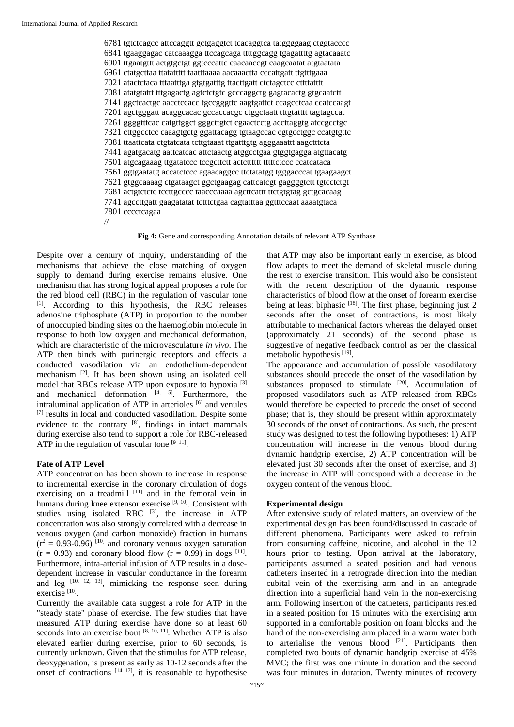6781 tgtctcagcc attccaggtt gctgaggtct tcacaggtca tatggggaag ctggtacccc 6841 tgaaggagac catcaaagga ttccagcaga ttttggcagg tgagattttg agtacaaatc 6901 ttgaatgttt actgtgctgt ggtcccattc caacaaccgt caagcaatat atgtaatata 6961 ctatgcttaa ttatattttt taatttaaaa aacaaactta cccattgatt ttgtttgaaa 7021 atactctaca tttaatttga gtgtgatttg ttacttgatt ctctagctcc cttttatttt 7081 atatgtattt tttgagactg agtctctgtc gcccaggctg gagtacactg gtgcaatctt 7141 ggctcactgc aacctccacc tgccgggttc aagtgattct ccagcctcaa ccatccaagt 7201 agctgggatt acaggcacac gccaccacgc ctggctaatt tttgtatttt tagtagccat 7261 ggggtttcac catgttggct gggcttgtct cgaactcctg accttaggtg atccgcctgc 7321 cttggcctcc caaagtgctg ggattacagg tgtaagccac cgtgcctggc ccatgtgttc 7381 ttaattcata ctgtatcata tcttgtaaat ttgatttgtg agggaaattt aagctttcta 7441 agatgacatg aattcatcac attctaactg atggcctgaa gtggtgagga atgttacatg 7501 atgcagaaag ttgatatccc tccgcttctt actctttttt tttttctccc ccatcataca 7561 ggtgaatatg accatctccc agaacaggcc ttctatatgg tgggacccat tgaagaagct 7621 gtggcaaaag ctgataagct ggctgaagag cattcatcgt gaggggtctt tgtcctctgt 7681 actgtctctc tccttgcccc taacccaaaa agcttcattt ttctgtgtag gctgcacaag 7741 agccttgatt gaagatatat tctttctgaa cagtatttaa ggtttccaat aaaatgtaca 7801 cccctcagaa //

**Fig 4:** Gene and corresponding Annotation details of relevant ATP Synthase

Despite over a century of inquiry, understanding of the mechanisms that achieve the close matching of oxygen supply to demand during exercise remains elusive. One mechanism that has strong logical appeal proposes a role for the red blood cell (RBC) in the regulation of vascular tone [1]. According to this hypothesis, the RBC releases adenosine triphosphate (ATP) in proportion to the number of unoccupied binding sites on the haemoglobin molecule in response to both low oxygen and mechanical deformation, which are characteristic of the microvasculature *in vivo*. The ATP then binds with purinergic receptors and effects a conducted vasodilation via an endothelium-dependent mechanism [2]. It has been shown using an isolated cell model that RBCs release ATP upon exposure to hypoxia [3] and mechanical deformation  $[4, 5]$ . Furthermore, the intraluminal application of ATP in arterioles [6] and venules [7] results in local and conducted vasodilation. Despite some evidence to the contrary  $[8]$ , findings in intact mammals during exercise also tend to support a role for RBC-released ATP in the regulation of vascular tone  $[9-11]$ .

### **Fate of ATP Level**

ATP concentration has been shown to increase in response to incremental exercise in the coronary circulation of dogs exercising on a treadmill  $[11]$  and in the femoral vein in humans during knee extensor exercise [9, 10]. Consistent with studies using isolated RBC  $[3]$ , the increase in ATP concentration was also strongly correlated with a decrease in venous oxygen (and carbon monoxide) fraction in humans  $(r^2 = 0.93 - 0.96)$  [10] and coronary venous oxygen saturation  $(r = 0.93)$  and coronary blood flow  $(r = 0.99)$  in dogs  $^{[11]}$ . Furthermore, intra-arterial infusion of ATP results in a dosedependent increase in vascular conductance in the forearm and leg  $[10, 12, 13]$ , mimicking the response seen during exercise<sup>[10]</sup>.

Currently the available data suggest a role for ATP in the "steady state" phase of exercise. The few studies that have measured ATP during exercise have done so at least 60 seconds into an exercise bout  $[8, 10, 11]$ . Whether ATP is also elevated earlier during exercise, prior to 60 seconds, is currently unknown. Given that the stimulus for ATP release, deoxygenation, is present as early as 10-12 seconds after the onset of contractions  $[14-17]$ , it is reasonable to hypothesise

that ATP may also be important early in exercise, as blood flow adapts to meet the demand of skeletal muscle during the rest to exercise transition. This would also be consistent with the recent description of the dynamic response characteristics of blood flow at the onset of forearm exercise being at least biphasic <sup>[18]</sup>. The first phase, beginning just 2 seconds after the onset of contractions, is most likely attributable to mechanical factors whereas the delayed onset (approximately 21 seconds) of the second phase is suggestive of negative feedback control as per the classical metabolic hypothesis<sup>[19]</sup>.

The appearance and accumulation of possible vasodilatory substances should precede the onset of the vasodilation by substances proposed to stimulate [20]. Accumulation of proposed vasodilators such as ATP released from RBCs would therefore be expected to precede the onset of second phase; that is, they should be present within approximately 30 seconds of the onset of contractions. As such, the present study was designed to test the following hypotheses: 1) ATP concentration will increase in the venous blood during dynamic handgrip exercise, 2) ATP concentration will be elevated just 30 seconds after the onset of exercise, and 3) the increase in ATP will correspond with a decrease in the oxygen content of the venous blood.

### **Experimental design**

After extensive study of related matters, an overview of the experimental design has been found/discussed in cascade of different phenomena. Participants were asked to refrain from consuming caffeine, nicotine, and alcohol in the 12 hours prior to testing. Upon arrival at the laboratory, participants assumed a seated position and had venous catheters inserted in a retrograde direction into the median cubital vein of the exercising arm and in an antegrade direction into a superficial hand vein in the non-exercising arm. Following insertion of the catheters, participants rested in a seated position for 15 minutes with the exercising arm supported in a comfortable position on foam blocks and the hand of the non-exercising arm placed in a warm water bath to arterialise the venous blood  $[21]$ . Participants then completed two bouts of dynamic handgrip exercise at 45% MVC; the first was one minute in duration and the second was four minutes in duration. Twenty minutes of recovery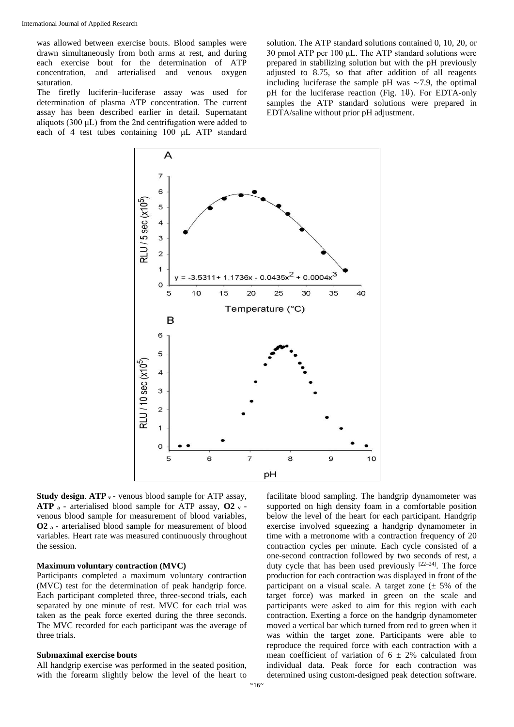was allowed between exercise bouts. Blood samples were drawn simultaneously from both arms at rest, and during each exercise bout for the determination of ATP concentration, and arterialised and venous oxygen saturation.

The firefly luciferin–luciferase assay was used for determination of plasma ATP concentration. The current assay has been described earlier in detail. Supernatant aliquots (300 μL) from the 2nd centrifugation were added to each of 4 test tubes containing 100 μL ATP standard

solution. The ATP standard solutions contained 0, 10, 20, or 30 pmol ATP per  $100 \mu L$ . The ATP standard solutions were prepared in stabilizing solution but with the pH previously adjusted to 8.75, so that after addition of all reagents including luciferase the sample pH was ∼7.9, the optimal pH for the luciferase reaction (Fig. 1⇓). For EDTA-only samples the ATP standard solutions were prepared in EDTA/saline without prior pH adjustment.



**Study design. ATP v** - venous blood sample for ATP assay, **ATP <sup>a</sup>** - arterialised blood sample for ATP assay, **O2 <sup>v</sup>** venous blood sample for measurement of blood variables, **O2 <sup>a</sup>** - arterialised blood sample for measurement of blood variables. Heart rate was measured continuously throughout the session.

#### **Maximum voluntary contraction (MVC)**

Participants completed a maximum voluntary contraction (MVC) test for the determination of peak handgrip force. Each participant completed three, three-second trials, each separated by one minute of rest. MVC for each trial was taken as the peak force exerted during the three seconds. The MVC recorded for each participant was the average of three trials.

#### **Submaximal exercise bouts**

All handgrip exercise was performed in the seated position, with the forearm slightly below the level of the heart to

facilitate blood sampling. The handgrip dynamometer was supported on high density foam in a comfortable position below the level of the heart for each participant. Handgrip exercise involved squeezing a handgrip dynamometer in time with a metronome with a contraction frequency of 20 contraction cycles per minute. Each cycle consisted of a one-second contraction followed by two seconds of rest, a duty cycle that has been used previously  $[22-24]$ . The force production for each contraction was displayed in front of the participant on a visual scale. A target zone  $(\pm 5\%$  of the target force) was marked in green on the scale and participants were asked to aim for this region with each contraction. Exerting a force on the handgrip dynamometer moved a vertical bar which turned from red to green when it was within the target zone. Participants were able to reproduce the required force with each contraction with a mean coefficient of variation of  $6 \pm 2\%$  calculated from individual data. Peak force for each contraction was determined using custom-designed peak detection software.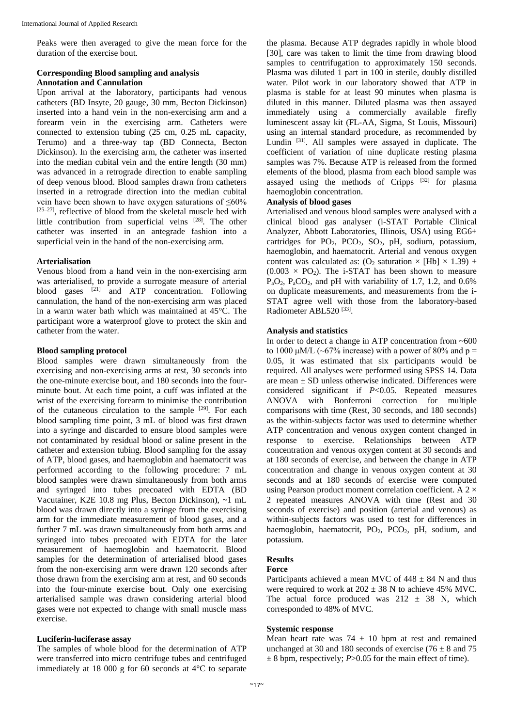Peaks were then averaged to give the mean force for the duration of the exercise bout.

# **Corresponding Blood sampling and analysis Annotation and Cannulation**

Upon arrival at the laboratory, participants had venous catheters (BD Insyte, 20 gauge, 30 mm, Becton Dickinson) inserted into a hand vein in the non-exercising arm and a forearm vein in the exercising arm. Catheters were connected to extension tubing (25 cm, 0.25 mL capacity, Terumo) and a three-way tap (BD Connecta, Becton Dickinson). In the exercising arm, the catheter was inserted into the median cubital vein and the entire length (30 mm) was advanced in a retrograde direction to enable sampling of deep venous blood. Blood samples drawn from catheters inserted in a retrograde direction into the median cubital vein have been shown to have oxygen saturations of  $\leq 60\%$  $[25-27]$ , reflective of blood from the skeletal muscle bed with little contribution from superficial veins [28]. The other catheter was inserted in an antegrade fashion into a superficial vein in the hand of the non-exercising arm.

## **Arterialisation**

Venous blood from a hand vein in the non-exercising arm was arterialised, to provide a surrogate measure of arterial blood gases <sup>[21]</sup> and ATP concentration. Following cannulation, the hand of the non-exercising arm was placed in a warm water bath which was maintained at 45°C. The participant wore a waterproof glove to protect the skin and catheter from the water.

## **Blood sampling protocol**

Blood samples were drawn simultaneously from the exercising and non-exercising arms at rest, 30 seconds into the one-minute exercise bout, and 180 seconds into the fourminute bout. At each time point, a cuff was inflated at the wrist of the exercising forearm to minimise the contribution of the cutaneous circulation to the sample [29]. For each blood sampling time point, 3 mL of blood was first drawn into a syringe and discarded to ensure blood samples were not contaminated by residual blood or saline present in the catheter and extension tubing. Blood sampling for the assay of ATP, blood gases, and haemoglobin and haematocrit was performed according to the following procedure: 7 mL blood samples were drawn simultaneously from both arms and syringed into tubes precoated with EDTA (BD Vacutainer, K2E 10.8 mg Plus, Becton Dickinson), ~1 mL blood was drawn directly into a syringe from the exercising arm for the immediate measurement of blood gases, and a further 7 mL was drawn simultaneously from both arms and syringed into tubes precoated with EDTA for the later measurement of haemoglobin and haematocrit. Blood samples for the determination of arterialised blood gases from the non-exercising arm were drawn 120 seconds after those drawn from the exercising arm at rest, and 60 seconds into the four-minute exercise bout. Only one exercising arterialised sample was drawn considering arterial blood gases were not expected to change with small muscle mass exercise.

# **Luciferin-luciferase assay**

The samples of whole blood for the determination of ATP were transferred into micro centrifuge tubes and centrifuged immediately at 18 000 g for 60 seconds at 4°C to separate

the plasma. Because ATP degrades rapidly in whole blood [30], care was taken to limit the time from drawing blood samples to centrifugation to approximately 150 seconds. Plasma was diluted 1 part in 100 in sterile, doubly distilled water. Pilot work in our laboratory showed that ATP in plasma is stable for at least 90 minutes when plasma is diluted in this manner. Diluted plasma was then assayed immediately using a commercially available firefly luminescent assay kit (FL-AA, Sigma, St Louis, Missouri) using an internal standard procedure, as recommended by Lundin [31]. All samples were assayed in duplicate. The coefficient of variation of nine duplicate resting plasma samples was 7%. Because ATP is released from the formed elements of the blood, plasma from each blood sample was assayed using the methods of Cripps [32] for plasma haemoglobin concentration.

### **Analysis of blood gases**

Arterialised and venous blood samples were analysed with a clinical blood gas analyser (i-STAT Portable Clinical Analyzer, Abbott Laboratories, Illinois, USA) using EG6+ cartridges for  $PO_2$ ,  $PCO_2$ ,  $SO_2$ ,  $pH$ , sodium, potassium, haemoglobin, and haematocrit. Arterial and venous oxygen content was calculated as: (O<sub>2</sub> saturation  $\times$  [Hb]  $\times$  1.39) +  $(0.003 \times PQ_2)$ . The i-STAT has been shown to measure  $P_aO_2$ ,  $P_aCO_2$ , and pH with variability of 1.7, 1.2, and 0.6% on duplicate measurements, and measurements from the i-STAT agree well with those from the laboratory-based Radiometer ABL520<sup>[33]</sup>.

## **Analysis and statistics**

In order to detect a change in ATP concentration from ~600 to 1000 μM/L ( $\sim$ 67% increase) with a power of 80% and p = 0.05, it was estimated that six participants would be required. All analyses were performed using SPSS 14. Data are mean  $\pm$  SD unless otherwise indicated. Differences were considered significant if *P*<0.05. Repeated measures ANOVA with Bonferroni correction for multiple comparisons with time (Rest, 30 seconds, and 180 seconds) as the within-subjects factor was used to determine whether ATP concentration and venous oxygen content changed in response to exercise. Relationships between ATP concentration and venous oxygen content at 30 seconds and at 180 seconds of exercise, and between the change in ATP concentration and change in venous oxygen content at 30 seconds and at 180 seconds of exercise were computed using Pearson product moment correlation coefficient. A  $2 \times$ 2 repeated measures ANOVA with time (Rest and 30 seconds of exercise) and position (arterial and venous) as within-subjects factors was used to test for differences in haemoglobin, haematocrit,  $PO_2$ ,  $PCO_2$ ,  $pH$ , sodium, and potassium.

# **Results**

# **Force**

Participants achieved a mean MVC of  $448 \pm 84$  N and thus were required to work at  $202 \pm 38$  N to achieve 45% MVC. The actual force produced was  $212 \pm 38$  N, which corresponded to 48% of MVC.

### **Systemic response**

Mean heart rate was  $74 \pm 10$  bpm at rest and remained unchanged at 30 and 180 seconds of exercise (76  $\pm$  8 and 75  $\pm$  8 bpm, respectively; *P*>0.05 for the main effect of time).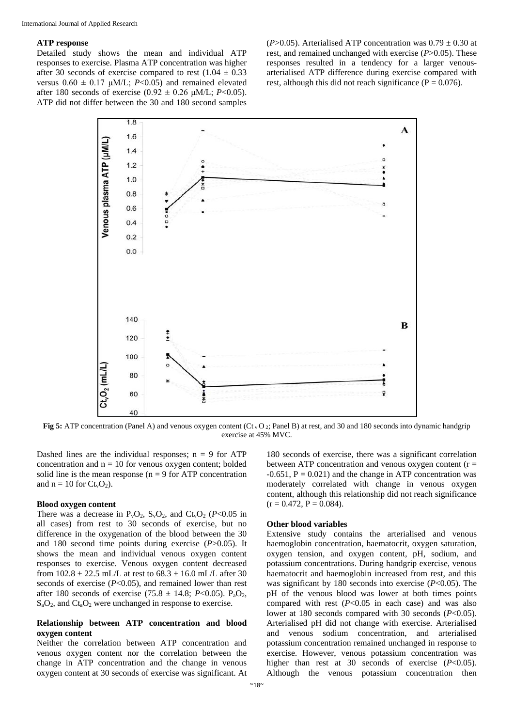## **ATP response**

Detailed study shows the mean and individual ATP responses to exercise. Plasma ATP concentration was higher after 30 seconds of exercise compared to rest  $(1.04 \pm 0.33)$ versus  $0.60 \pm 0.17 \mu M/L$ ; *P*<0.05) and remained elevated after 180 seconds of exercise (0.92  $\pm$  0.26  $\mu$ M/L; *P*<0.05). ATP did not differ between the 30 and 180 second samples

( $P > 0.05$ ). Arterialised ATP concentration was  $0.79 \pm 0.30$  at rest, and remained unchanged with exercise (*P*>0.05). These responses resulted in a tendency for a larger venousarterialised ATP difference during exercise compared with rest, although this did not reach significance ( $P = 0.076$ ).



**Fig 5:** ATP concentration (Panel A) and venous oxygen content (Ct<sub>v</sub>O<sub>2</sub>; Panel B) at rest, and 30 and 180 seconds into dynamic handgrip exercise at 45% MVC.

Dashed lines are the individual responses;  $n = 9$  for ATP concentration and  $n = 10$  for venous oxygen content; bolded solid line is the mean response ( $n = 9$  for ATP concentration and  $n = 10$  for  $Ct<sub>v</sub>O<sub>2</sub>$ ).

## **Blood oxygen content**

There was a decrease in  $P_vO_2$ ,  $S_vO_2$ , and  $Ct_vO_2$  ( $P<0.05$  in all cases) from rest to 30 seconds of exercise, but no difference in the oxygenation of the blood between the 30 and 180 second time points during exercise (*P*>0.05). It shows the mean and individual venous oxygen content responses to exercise. Venous oxygen content decreased from  $102.8 \pm 22.5$  mL/L at rest to  $68.3 \pm 16.0$  mL/L after 30 seconds of exercise (*P*<0.05), and remained lower than rest after 180 seconds of exercise (75.8  $\pm$  14.8; *P*<0.05). P<sub>a</sub>O<sub>2</sub>,  $S_aO_2$ , and  $C_{a}O_2$  were unchanged in response to exercise.

## **Relationship between ATP concentration and blood oxygen content**

Neither the correlation between ATP concentration and venous oxygen content nor the correlation between the change in ATP concentration and the change in venous oxygen content at 30 seconds of exercise was significant. At

180 seconds of exercise, there was a significant correlation between ATP concentration and venous oxygen content  $(r =$  $-0.651$ ,  $P = 0.021$ ) and the change in ATP concentration was moderately correlated with change in venous oxygen content, although this relationship did not reach significance  $(r = 0.472, P = 0.084).$ 

## **Other blood variables**

Extensive study contains the arterialised and venous haemoglobin concentration, haematocrit, oxygen saturation, oxygen tension, and oxygen content, pH, sodium, and potassium concentrations. During handgrip exercise, venous haematocrit and haemoglobin increased from rest, and this was significant by 180 seconds into exercise (*P*<0.05). The pH of the venous blood was lower at both times points compared with rest  $(P<0.05$  in each case) and was also lower at 180 seconds compared with 30 seconds (*P*<0.05). Arterialised pH did not change with exercise. Arterialised and venous sodium concentration, and arterialised potassium concentration remained unchanged in response to exercise. However, venous potassium concentration was higher than rest at 30 seconds of exercise (*P*<0.05). Although the venous potassium concentration then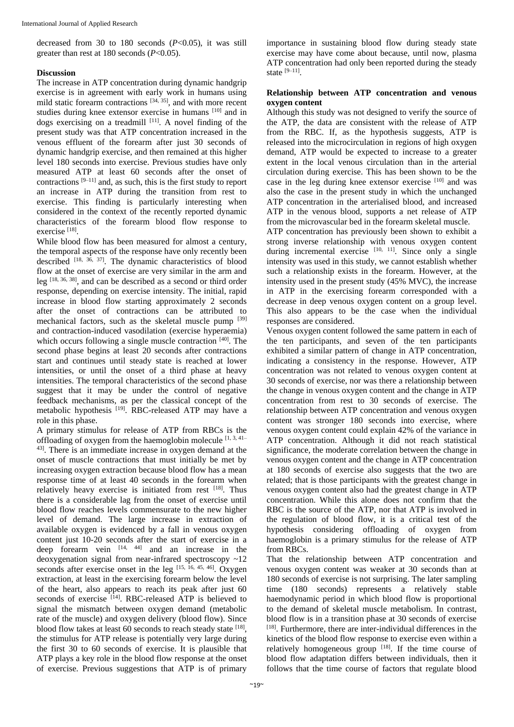decreased from 30 to 180 seconds (*P*<0.05), it was still greater than rest at 180 seconds (*P*<0.05).

# **Discussion**

The increase in ATP concentration during dynamic handgrip exercise is in agreement with early work in humans using mild static forearm contractions  $[34, 35]$ , and with more recent studies during knee extensor exercise in humans [10] and in dogs exercising on a treadmill  $[11]$ . A novel finding of the present study was that ATP concentration increased in the venous effluent of the forearm after just 30 seconds of dynamic handgrip exercise, and then remained at this higher level 180 seconds into exercise. Previous studies have only measured ATP at least 60 seconds after the onset of contractions  $[9-11]$  and, as such, this is the first study to report an increase in ATP during the transition from rest to exercise. This finding is particularly interesting when considered in the context of the recently reported dynamic characteristics of the forearm blood flow response to exercise<sup>[18]</sup>.

While blood flow has been measured for almost a century, the temporal aspects of the response have only recently been described <sup>[18, 36, 37]</sup>. The dynamic characteristics of blood flow at the onset of exercise are very similar in the arm and leg [18, 36, 38], and can be described as a second or third order response, depending on exercise intensity. The initial, rapid increase in blood flow starting approximately 2 seconds after the onset of contractions can be attributed to mechanical factors, such as the skeletal muscle pump [39] and contraction-induced vasodilation (exercise hyperaemia) which occurs following a single muscle contraction [40]. The second phase begins at least 20 seconds after contractions start and continues until steady state is reached at lower intensities, or until the onset of a third phase at heavy intensities. The temporal characteristics of the second phase suggest that it may be under the control of negative feedback mechanisms, as per the classical concept of the metabolic hypothesis [19]. RBC-released ATP may have a role in this phase.

A primary stimulus for release of ATP from RBCs is the offloading of oxygen from the haemoglobin molecule  $[1, 3, 41]$ 43]. There is an immediate increase in oxygen demand at the onset of muscle contractions that must initially be met by increasing oxygen extraction because blood flow has a mean response time of at least 40 seconds in the forearm when relatively heavy exercise is initiated from rest [18]. Thus there is a considerable lag from the onset of exercise until blood flow reaches levels commensurate to the new higher level of demand. The large increase in extraction of available oxygen is evidenced by a fall in venous oxygen content just 10-20 seconds after the start of exercise in a deep forearm vein  $[14, 44]$  and an increase in the deoxygenation signal from near-infrared spectroscopy ~12 seconds after exercise onset in the leg  $^{[15, 16, 45, 46]}$ . Oxygen extraction, at least in the exercising forearm below the level of the heart, also appears to reach its peak after just 60 seconds of exercise [14]. RBC-released ATP is believed to signal the mismatch between oxygen demand (metabolic rate of the muscle) and oxygen delivery (blood flow). Since blood flow takes at least 60 seconds to reach steady state [18], the stimulus for ATP release is potentially very large during the first 30 to 60 seconds of exercise. It is plausible that ATP plays a key role in the blood flow response at the onset of exercise. Previous suggestions that ATP is of primary

importance in sustaining blood flow during steady state exercise may have come about because, until now, plasma ATP concentration had only been reported during the steady state [9–11] .

## **Relationship between ATP concentration and venous oxygen content**

Although this study was not designed to verify the source of the ATP, the data are consistent with the release of ATP from the RBC. If, as the hypothesis suggests, ATP is released into the microcirculation in regions of high oxygen demand, ATP would be expected to increase to a greater extent in the local venous circulation than in the arterial circulation during exercise. This has been shown to be the case in the leg during knee extensor exercise [10] and was also the case in the present study in which the unchanged ATP concentration in the arterialised blood, and increased ATP in the venous blood, supports a net release of ATP from the microvascular bed in the forearm skeletal muscle.

ATP concentration has previously been shown to exhibit a strong inverse relationship with venous oxygen content during incremental exercise  $[10, 11]$ . Since only a single intensity was used in this study, we cannot establish whether such a relationship exists in the forearm. However, at the intensity used in the present study (45% MVC), the increase in ATP in the exercising forearm corresponded with a decrease in deep venous oxygen content on a group level. This also appears to be the case when the individual responses are considered.

Venous oxygen content followed the same pattern in each of the ten participants, and seven of the ten participants exhibited a similar pattern of change in ATP concentration, indicating a consistency in the response. However, ATP concentration was not related to venous oxygen content at 30 seconds of exercise, nor was there a relationship between the change in venous oxygen content and the change in ATP concentration from rest to 30 seconds of exercise. The relationship between ATP concentration and venous oxygen content was stronger 180 seconds into exercise, where venous oxygen content could explain 42% of the variance in ATP concentration. Although it did not reach statistical significance, the moderate correlation between the change in venous oxygen content and the change in ATP concentration at 180 seconds of exercise also suggests that the two are related; that is those participants with the greatest change in venous oxygen content also had the greatest change in ATP concentration. While this alone does not confirm that the RBC is the source of the ATP, nor that ATP is involved in the regulation of blood flow, it is a critical test of the hypothesis considering offloading of oxygen from haemoglobin is a primary stimulus for the release of ATP from RBCs.

That the relationship between ATP concentration and venous oxygen content was weaker at 30 seconds than at 180 seconds of exercise is not surprising. The later sampling time (180 seconds) represents a relatively stable haemodynamic period in which blood flow is proportional to the demand of skeletal muscle metabolism. In contrast, blood flow is in a transition phase at 30 seconds of exercise [18]. Furthermore, there are inter-individual differences in the kinetics of the blood flow response to exercise even within a relatively homogeneous group  $[18]$ . If the time course of blood flow adaptation differs between individuals, then it follows that the time course of factors that regulate blood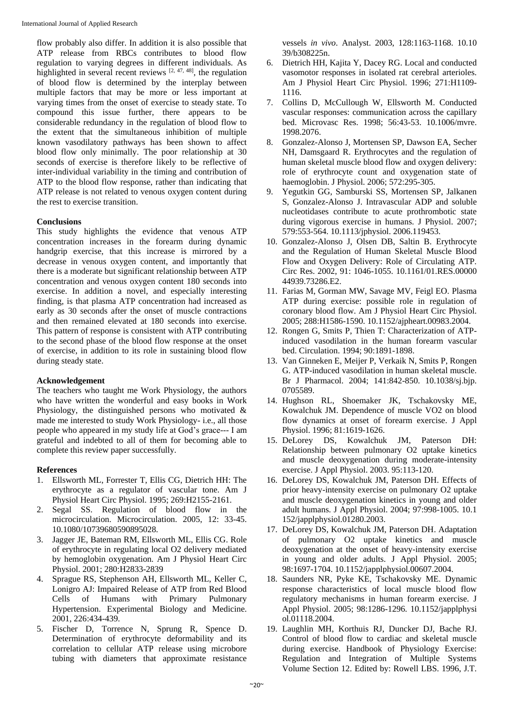flow probably also differ. In addition it is also possible that ATP release from RBCs contributes to blood flow regulation to varying degrees in different individuals. As highlighted in several recent reviews  $[2, 47, 48]$ , the regulation of blood flow is determined by the interplay between multiple factors that may be more or less important at varying times from the onset of exercise to steady state. To compound this issue further, there appears to be considerable redundancy in the regulation of blood flow to the extent that the simultaneous inhibition of multiple known vasodilatory pathways has been shown to affect blood flow only minimally. The poor relationship at 30 seconds of exercise is therefore likely to be reflective of inter-individual variability in the timing and contribution of ATP to the blood flow response, rather than indicating that ATP release is not related to venous oxygen content during the rest to exercise transition.

# **Conclusions**

This study highlights the evidence that venous ATP concentration increases in the forearm during dynamic handgrip exercise, that this increase is mirrored by a decrease in venous oxygen content, and importantly that there is a moderate but significant relationship between ATP concentration and venous oxygen content 180 seconds into exercise. In addition a novel, and especially interesting finding, is that plasma ATP concentration had increased as early as 30 seconds after the onset of muscle contractions and then remained elevated at 180 seconds into exercise. This pattern of response is consistent with ATP contributing to the second phase of the blood flow response at the onset of exercise, in addition to its role in sustaining blood flow during steady state.

# **Acknowledgement**

The teachers who taught me Work Physiology, the authors who have written the wonderful and easy books in Work Physiology, the distinguished persons who motivated & made me interested to study Work Physiology- i.e., all those people who appeared in my study life at God's grace--- I am grateful and indebted to all of them for becoming able to complete this review paper successfully.

# **References**

- 1. Ellsworth ML, Forrester T, Ellis CG, Dietrich HH: The erythrocyte as a regulator of vascular tone. Am J Physiol Heart Circ Physiol. 1995; 269:H2155-2161.
- 2. Segal SS. Regulation of blood flow in the microcirculation. Microcirculation. 2005, 12: 33-45. 10.1080/10739680590895028.
- 3. Jagger JE, Bateman RM, Ellsworth ML, Ellis CG. Role of erythrocyte in regulating local O2 delivery mediated by hemoglobin oxygenation. Am J Physiol Heart Circ Physiol. 2001; 280:H2833-2839
- 4. Sprague RS, Stephenson AH, Ellsworth ML, Keller C, Lonigro AJ: Impaired Release of ATP from Red Blood Cells of Humans with Primary Pulmonary Hypertension. Experimental Biology and Medicine. 2001, 226:434-439.
- 5. Fischer D, Torrence N, Sprung R, Spence D. Determination of erythrocyte deformability and its correlation to cellular ATP release using microbore tubing with diameters that approximate resistance

vessels *in vivo*. Analyst. 2003, 128:1163-1168. 10.10 39/b308225n.

- 6. Dietrich HH, Kajita Y, Dacey RG. Local and conducted vasomotor responses in isolated rat cerebral arterioles. Am J Physiol Heart Circ Physiol. 1996; 271:H1109- 1116.
- 7. Collins D, McCullough W, Ellsworth M. Conducted vascular responses: communication across the capillary bed. Microvasc Res. 1998; 56:43-53. 10.1006/mvre. 1998.2076.
- 8. Gonzalez-Alonso J, Mortensen SP, Dawson EA, Secher NH, Damsgaard R. Erythrocytes and the regulation of human skeletal muscle blood flow and oxygen delivery: role of erythrocyte count and oxygenation state of haemoglobin. J Physiol. 2006; 572:295-305.
- 9. Yegutkin GG, Samburski SS, Mortensen SP, Jalkanen S, Gonzalez-Alonso J. Intravascular ADP and soluble nucleotidases contribute to acute prothrombotic state during vigorous exercise in humans. J Physiol. 2007; 579:553-564. 10.1113/jphysiol. 2006.119453.
- 10. Gonzalez-Alonso J, Olsen DB, Saltin B. Erythrocyte and the Regulation of Human Skeletal Muscle Blood Flow and Oxygen Delivery: Role of Circulating ATP. Circ Res. 2002, 91: 1046-1055. 10.1161/01.RES.00000 44939.73286.E2.
- 11. Farias M, Gorman MW, Savage MV, Feigl EO. Plasma ATP during exercise: possible role in regulation of coronary blood flow. Am J Physiol Heart Circ Physiol. 2005; 288:H1586-1590. 10.1152/ajpheart.00983.2004.
- 12. Rongen G, Smits P, Thien T: Characterization of ATPinduced vasodilation in the human forearm vascular bed. Circulation. 1994; 90:1891-1898.
- 13. Van Ginneken E, Meijer P, Verkaik N, Smits P, Rongen G. ATP-induced vasodilation in human skeletal muscle. Br J Pharmacol. 2004; 141:842-850. 10.1038/sj.bjp. 0705589.
- 14. Hughson RL, Shoemaker JK, Tschakovsky ME, Kowalchuk JM. Dependence of muscle VO2 on blood flow dynamics at onset of forearm exercise. J Appl Physiol. 1996; 81:1619-1626.
- 15. DeLorey DS, Kowalchuk JM, Paterson DH: Relationship between pulmonary O2 uptake kinetics and muscle deoxygenation during moderate-intensity exercise. J Appl Physiol. 2003. 95:113-120.
- 16. DeLorey DS, Kowalchuk JM, Paterson DH. Effects of prior heavy-intensity exercise on pulmonary O2 uptake and muscle deoxygenation kinetics in young and older adult humans. J Appl Physiol. 2004; 97:998-1005. 10.1 152/japplphysiol.01280.2003.
- 17. DeLorey DS, Kowalchuk JM, Paterson DH. Adaptation of pulmonary O2 uptake kinetics and muscle deoxygenation at the onset of heavy-intensity exercise in young and older adults. J Appl Physiol. 2005; 98:1697-1704. 10.1152/japplphysiol.00607.2004.
- 18. Saunders NR, Pyke KE, Tschakovsky ME. Dynamic response characteristics of local muscle blood flow regulatory mechanisms in human forearm exercise. J Appl Physiol. 2005; 98:1286-1296. 10.1152/japplphysi ol.01118.2004.
- 19. Laughlin MH, Korthuis RJ, Duncker DJ, Bache RJ. Control of blood flow to cardiac and skeletal muscle during exercise. Handbook of Physiology Exercise: Regulation and Integration of Multiple Systems Volume Section 12. Edited by: Rowell LBS. 1996, J.T.